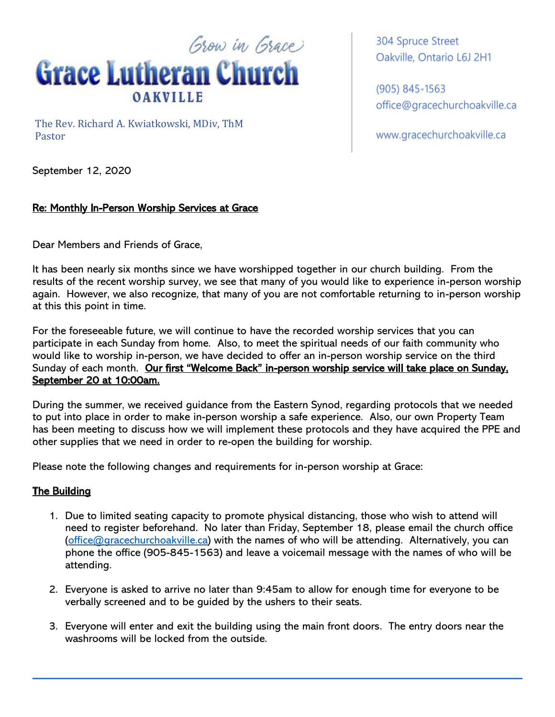

The Rev. Richard A. Kwiatkowski, MDiv, ThM Pastor

304 Spruce Street Oakville, Ontario L6J 2H1

(905) 845-1563 office@gracechurchoakville.ca

www.gracechurchoakville.ca

September 12, 2020

## Re: Monthly In-Person Worship Services at Grace

Dear Members and Friends of Grace,

It has been nearly six months since we have worshipped together in our church building. From the results of the recent worship survey, we see that many of you would like to experience in-person worship again. However, we also recognize, that many of you are not comfortable returning to in-person worship at this this point in time.

For the foreseeable future, we will continue to have the recorded worship services that you can participate in each Sunday from home. Also, to meet the spiritual needs of our faith community who would like to worship in-person, we have decided to offer an in-person worship service on the third Sunday of each month. Our first "Welcome Back" in-person worship service will take place on Sunday, September 20 at 10:00am.

During the summer, we received guidance from the Eastern Synod, regarding protocols that we needed to put into place in order to make in-person worship a safe experience. Also, our own Property Team has been meeting to discuss how we will implement these protocols and they have acquired the PPE and other supplies that we need in order to re-open the building for worship.

Please note the following changes and requirements for in-person worship at Grace:

## The Building

- 1. Due to limited seating capacity to promote physical distancing, those who wish to attend will need to register beforehand. No later than Friday, September 18, please email the church office (office@gracechurchoakville.ca) with the names of who will be attending. Alternatively, you can phone the office (905-845-1563) and leave a voicemail message with the names of who will be attending.
- 2. Everyone is asked to arrive no later than 9:45am to allow for enough time for everyone to be verbally screened and to be guided by the ushers to their seats.
- 3. Everyone will enter and exit the building using the main front doors. The entry doors near the washrooms will be locked from the outside.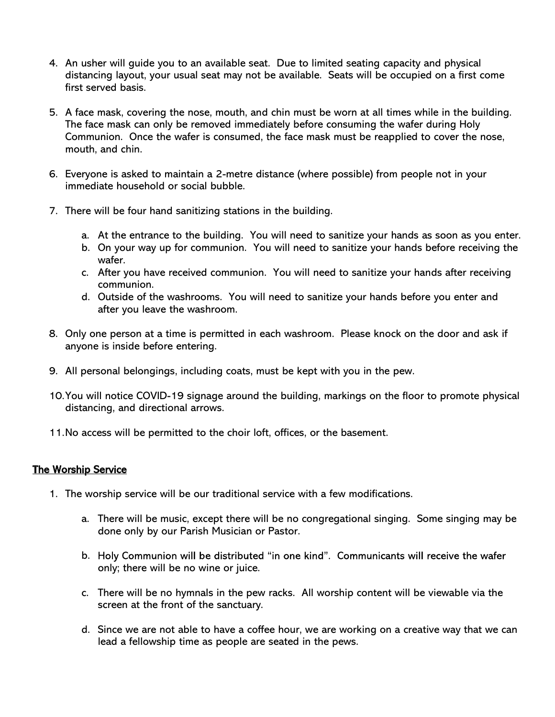- 4. An usher will guide you to an available seat. Due to limited seating capacity and physical distancing layout, your usual seat may not be available. Seats will be occupied on a first come first served basis.
- 5. A face mask, covering the nose, mouth, and chin must be worn at all times while in the building. The face mask can only be removed immediately before consuming the wafer during Holy Communion. Once the wafer is consumed, the face mask must be reapplied to cover the nose, mouth, and chin.
- 6. Everyone is asked to maintain a 2-metre distance (where possible) from people not in your immediate household or social bubble.
- 7. There will be four hand sanitizing stations in the building.
	- a. At the entrance to the building. You will need to sanitize your hands as soon as you enter.
	- b. On your way up for communion. You will need to sanitize your hands before receiving the wafer.
	- c. After you have received communion. You will need to sanitize your hands after receiving communion.
	- d. Outside of the washrooms. You will need to sanitize your hands before you enter and after you leave the washroom.
- 8. Only one person at a time is permitted in each washroom. Please knock on the door and ask if anyone is inside before entering.
- 9. All personal belongings, including coats, must be kept with you in the pew.
- 10.You will notice COVID-19 signage around the building, markings on the floor to promote physical distancing, and directional arrows.
- 11.No access will be permitted to the choir loft, offices, or the basement.

## The Worship Service

- 1. The worship service will be our traditional service with a few modifications.
	- a. There will be music, except there will be no congregational singing. Some singing may be done only by our Parish Musician or Pastor.
	- b. Holy Communion will be distributed "in one kind". Communicants will receive the wafer only; there will be no wine or juice.
	- c. There will be no hymnals in the pew racks. All worship content will be viewable via the screen at the front of the sanctuary.
	- d. Since we are not able to have a coffee hour, we are working on a creative way that we can lead a fellowship time as people are seated in the pews.